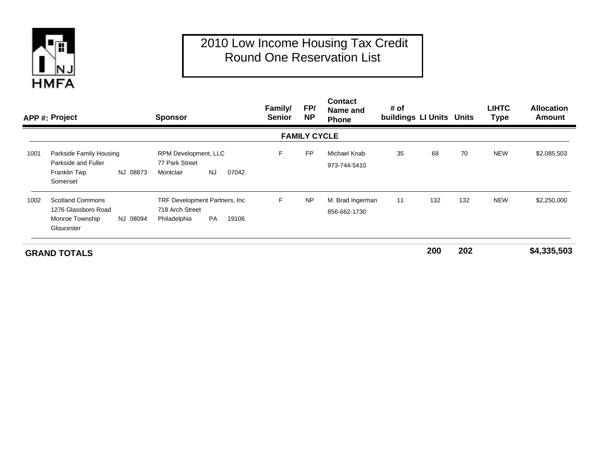

## 2010 Low Income Housing Tax Credit Round One Reservation List

|      | APP #: Project                                                                              | <b>Sponsor</b>                                                                   | Family/<br><b>Senior</b> | FP/<br><b>NP</b>    | <b>Contact</b><br>Name and<br><b>Phone</b> | # of<br>buildings LI Units Units |     |     | <b>LIHTC</b><br><b>Type</b> | <b>Allocation</b><br><b>Amount</b> |
|------|---------------------------------------------------------------------------------------------|----------------------------------------------------------------------------------|--------------------------|---------------------|--------------------------------------------|----------------------------------|-----|-----|-----------------------------|------------------------------------|
|      |                                                                                             |                                                                                  |                          | <b>FAMILY CYCLE</b> |                                            |                                  |     |     |                             |                                    |
| 1001 | Parkside Family Housing<br>Parkside and Fuller<br>Franklin Twp<br>NJ 08873<br>Somerset      | RPM Development, LLC<br>77 Park Street<br><b>NJ</b><br>07042<br>Montclair        | E                        | <b>FP</b>           | Michael Knab<br>973-744-5410               | 35                               | 68  | 70  | <b>NEW</b>                  | \$2,085,503                        |
| 1002 | <b>Scotland Commons</b><br>1276 Glassboro Road<br>NJ 08094<br>Monroe Township<br>Gloucester | TRF Development Partners, Inc.<br>718 Arch Street<br>PA<br>19106<br>Philadelphia | F.                       | <b>NP</b>           | M. Brad Ingerman<br>856-662-1730           | 11                               | 132 | 132 | <b>NEW</b>                  | \$2,250,000                        |
|      | <b>GRAND TOTALS</b>                                                                         |                                                                                  |                          |                     |                                            |                                  | 200 | 202 |                             | \$4,335,503                        |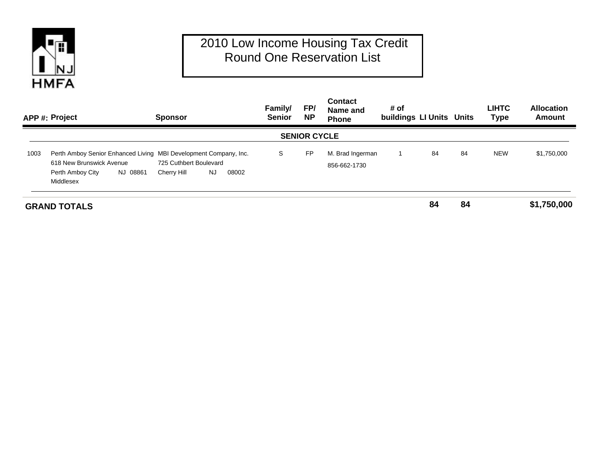

## 2010 Low Income Housing Tax Credit Round One Reservation List

|      | APP #: Project                                                                                                                            | <b>Sponsor</b>                                        | Family/<br><b>Senior</b> | FP/<br><b>NP</b>    | <b>Contact</b><br>Name and<br><b>Phone</b> | # of<br>buildings LI Units Units |    |    | <b>LIHTC</b><br><b>Type</b> | <b>Allocation</b><br>Amount |
|------|-------------------------------------------------------------------------------------------------------------------------------------------|-------------------------------------------------------|--------------------------|---------------------|--------------------------------------------|----------------------------------|----|----|-----------------------------|-----------------------------|
|      |                                                                                                                                           |                                                       |                          | <b>SENIOR CYCLE</b> |                                            |                                  |    |    |                             |                             |
| 1003 | Perth Amboy Senior Enhanced Living MBI Development Company, Inc.<br>618 New Brunswick Avenue<br>NJ 08861<br>Perth Amboy City<br>Middlesex | 725 Cuthbert Boulevard<br>NJ.<br>08002<br>Cherry Hill | S                        | <b>FP</b>           | M. Brad Ingerman<br>856-662-1730           |                                  | 84 | 84 | <b>NEW</b>                  | \$1,750,000                 |
|      | <b>GRAND TOTALS</b>                                                                                                                       |                                                       |                          |                     |                                            |                                  | 84 | 84 |                             | \$1,750,000                 |